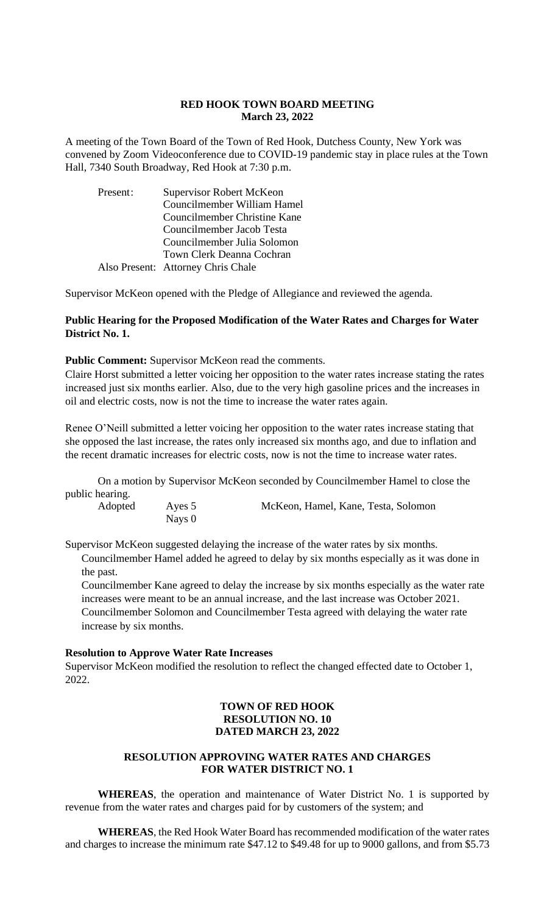#### **RED HOOK TOWN BOARD MEETING March 23, 2022**

A meeting of the Town Board of the Town of Red Hook, Dutchess County, New York was convened by Zoom Videoconference due to COVID-19 pandemic stay in place rules at the Town Hall, 7340 South Broadway, Red Hook at 7:30 p.m.

| Present: | Supervisor Robert McKeon           |  |  |
|----------|------------------------------------|--|--|
|          | Councilmember William Hamel        |  |  |
|          | Councilmember Christine Kane       |  |  |
|          | Councilmember Jacob Testa          |  |  |
|          | Councilmember Julia Solomon        |  |  |
|          | Town Clerk Deanna Cochran          |  |  |
|          | Also Present: Attorney Chris Chale |  |  |

Supervisor McKeon opened with the Pledge of Allegiance and reviewed the agenda.

# **Public Hearing for the Proposed Modification of the Water Rates and Charges for Water District No. 1.**

**Public Comment:** Supervisor McKeon read the comments.

Claire Horst submitted a letter voicing her opposition to the water rates increase stating the rates increased just six months earlier. Also, due to the very high gasoline prices and the increases in oil and electric costs, now is not the time to increase the water rates again.

Renee O'Neill submitted a letter voicing her opposition to the water rates increase stating that she opposed the last increase, the rates only increased six months ago, and due to inflation and the recent dramatic increases for electric costs, now is not the time to increase water rates.

On a motion by Supervisor McKeon seconded by Councilmember Hamel to close the public hearing.

Adopted Ayes 5 McKeon, Hamel, Kane, Testa, Solomon

Supervisor McKeon suggested delaying the increase of the water rates by six months.

Councilmember Hamel added he agreed to delay by six months especially as it was done in the past.

Councilmember Kane agreed to delay the increase by six months especially as the water rate increases were meant to be an annual increase, and the last increase was October 2021. Councilmember Solomon and Councilmember Testa agreed with delaying the water rate increase by six months.

# **Resolution to Approve Water Rate Increases**

Nays 0

Supervisor McKeon modified the resolution to reflect the changed effected date to October 1, 2022.

# **TOWN OF RED HOOK RESOLUTION NO. 10 DATED MARCH 23, 2022**

# **RESOLUTION APPROVING WATER RATES AND CHARGES FOR WATER DISTRICT NO. 1**

**WHEREAS**, the operation and maintenance of Water District No. 1 is supported by revenue from the water rates and charges paid for by customers of the system; and

**WHEREAS**, the Red Hook Water Board has recommended modification of the water rates and charges to increase the minimum rate \$47.12 to \$49.48 for up to 9000 gallons, and from \$5.73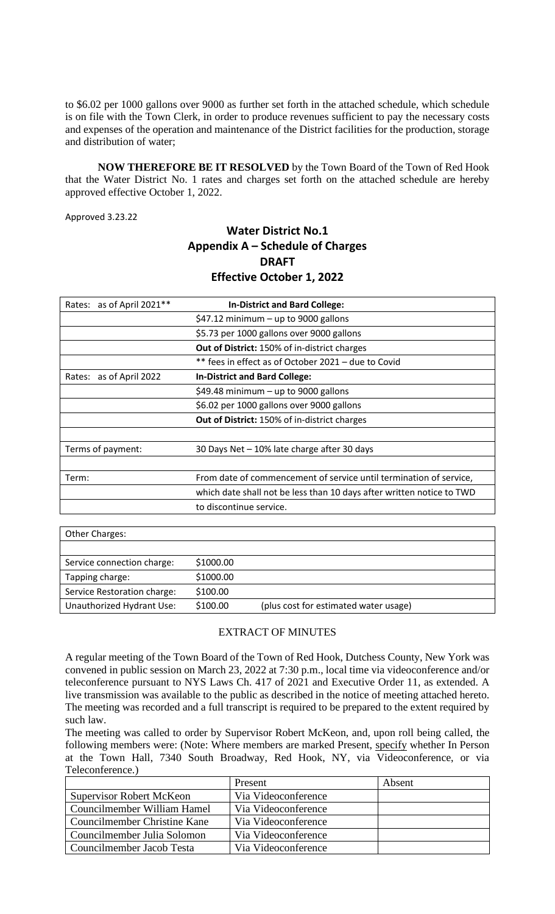to \$6.02 per 1000 gallons over 9000 as further set forth in the attached schedule, which schedule is on file with the Town Clerk, in order to produce revenues sufficient to pay the necessary costs and expenses of the operation and maintenance of the District facilities for the production, storage and distribution of water;

**NOW THEREFORE BE IT RESOLVED** by the Town Board of the Town of Red Hook that the Water District No. 1 rates and charges set forth on the attached schedule are hereby approved effective October 1, 2022.

Approved 3.23.22

# **Water District No.1 Appendix A – Schedule of Charges DRAFT Effective October 1, 2022**

| as of April 2021**<br>Rates: | <b>In-District and Bard College:</b>                                  |
|------------------------------|-----------------------------------------------------------------------|
|                              | $$47.12$ minimum - up to 9000 gallons                                 |
|                              | \$5.73 per 1000 gallons over 9000 gallons                             |
|                              | Out of District: 150% of in-district charges                          |
|                              | ** fees in effect as of October 2021 - due to Covid                   |
| Rates: as of April 2022      | <b>In-District and Bard College:</b>                                  |
|                              | \$49.48 minimum $-$ up to 9000 gallons                                |
|                              | \$6.02 per 1000 gallons over 9000 gallons                             |
|                              | Out of District: 150% of in-district charges                          |
|                              |                                                                       |
| Terms of payment:            | 30 Days Net - 10% late charge after 30 days                           |
|                              |                                                                       |
| Term:                        | From date of commencement of service until termination of service,    |
|                              | which date shall not be less than 10 days after written notice to TWD |
|                              | to discontinue service.                                               |
|                              |                                                                       |

| <b>Other Charges:</b>       |           |                                       |
|-----------------------------|-----------|---------------------------------------|
|                             |           |                                       |
| Service connection charge:  | \$1000.00 |                                       |
| Tapping charge:             | \$1000.00 |                                       |
| Service Restoration charge: | \$100.00  |                                       |
| Unauthorized Hydrant Use:   | \$100.00  | (plus cost for estimated water usage) |

# EXTRACT OF MINUTES

A regular meeting of the Town Board of the Town of Red Hook, Dutchess County, New York was convened in public session on March 23, 2022 at 7:30 p.m., local time via videoconference and/or teleconference pursuant to NYS Laws Ch. 417 of 2021 and Executive Order 11, as extended. A live transmission was available to the public as described in the notice of meeting attached hereto. The meeting was recorded and a full transcript is required to be prepared to the extent required by such law.

The meeting was called to order by Supervisor Robert McKeon, and, upon roll being called, the following members were: (Note: Where members are marked Present, specify whether In Person at the Town Hall, 7340 South Broadway, Red Hook, NY, via Videoconference, or via Teleconference.)

|                                 | Present             | Absent |
|---------------------------------|---------------------|--------|
| <b>Supervisor Robert McKeon</b> | Via Videoconference |        |
| Councilmember William Hamel     | Via Videoconference |        |
| Councilmember Christine Kane    | Via Videoconference |        |
| Councilmember Julia Solomon     | Via Videoconference |        |
| Councilmember Jacob Testa       | Via Videoconference |        |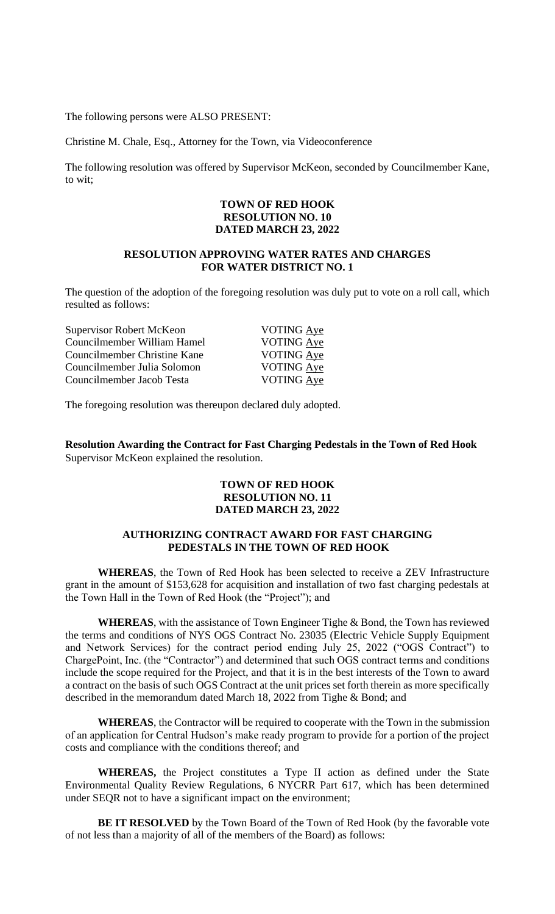The following persons were ALSO PRESENT:

Christine M. Chale, Esq., Attorney for the Town, via Videoconference

The following resolution was offered by Supervisor McKeon, seconded by Councilmember Kane, to wit;

### **TOWN OF RED HOOK RESOLUTION NO. 10 DATED MARCH 23, 2022**

# **RESOLUTION APPROVING WATER RATES AND CHARGES FOR WATER DISTRICT NO. 1**

The question of the adoption of the foregoing resolution was duly put to vote on a roll call, which resulted as follows:

| <b>Supervisor Robert McKeon</b> | <b>VOTING Aye</b> |
|---------------------------------|-------------------|
| Councilmember William Hamel     | VOTING Aye        |
| Councilmember Christine Kane    | VOTING Aye        |
| Councilmember Julia Solomon     | VOTING Aye        |
| Councilmember Jacob Testa       | <b>VOTING Aye</b> |
|                                 |                   |

The foregoing resolution was thereupon declared duly adopted.

**Resolution Awarding the Contract for Fast Charging Pedestals in the Town of Red Hook** Supervisor McKeon explained the resolution.

# **TOWN OF RED HOOK RESOLUTION NO. 11 DATED MARCH 23, 2022**

# **AUTHORIZING CONTRACT AWARD FOR FAST CHARGING PEDESTALS IN THE TOWN OF RED HOOK**

**WHEREAS**, the Town of Red Hook has been selected to receive a ZEV Infrastructure grant in the amount of \$153,628 for acquisition and installation of two fast charging pedestals at the Town Hall in the Town of Red Hook (the "Project"); and

**WHEREAS**, with the assistance of Town Engineer Tighe & Bond, the Town has reviewed the terms and conditions of NYS OGS Contract No. 23035 (Electric Vehicle Supply Equipment and Network Services) for the contract period ending July 25, 2022 ("OGS Contract") to ChargePoint, Inc. (the "Contractor") and determined that such OGS contract terms and conditions include the scope required for the Project, and that it is in the best interests of the Town to award a contract on the basis of such OGS Contract at the unit prices set forth therein as more specifically described in the memorandum dated March 18, 2022 from Tighe & Bond; and

**WHEREAS**, the Contractor will be required to cooperate with the Town in the submission of an application for Central Hudson's make ready program to provide for a portion of the project costs and compliance with the conditions thereof; and

**WHEREAS,** the Project constitutes a Type II action as defined under the State Environmental Quality Review Regulations, 6 NYCRR Part 617, which has been determined under SEQR not to have a significant impact on the environment;

**BE IT RESOLVED** by the Town Board of the Town of Red Hook (by the favorable vote of not less than a majority of all of the members of the Board) as follows: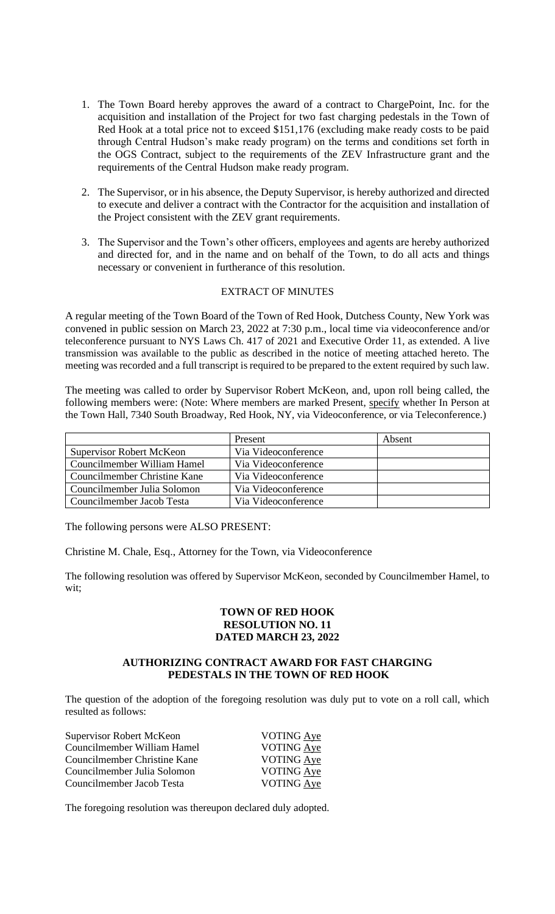- 1. The Town Board hereby approves the award of a contract to ChargePoint, Inc. for the acquisition and installation of the Project for two fast charging pedestals in the Town of Red Hook at a total price not to exceed \$151,176 (excluding make ready costs to be paid through Central Hudson's make ready program) on the terms and conditions set forth in the OGS Contract, subject to the requirements of the ZEV Infrastructure grant and the requirements of the Central Hudson make ready program.
- 2. The Supervisor, or in his absence, the Deputy Supervisor, is hereby authorized and directed to execute and deliver a contract with the Contractor for the acquisition and installation of the Project consistent with the ZEV grant requirements.
- 3. The Supervisor and the Town's other officers, employees and agents are hereby authorized and directed for, and in the name and on behalf of the Town, to do all acts and things necessary or convenient in furtherance of this resolution.

#### EXTRACT OF MINUTES

A regular meeting of the Town Board of the Town of Red Hook, Dutchess County, New York was convened in public session on March 23, 2022 at 7:30 p.m., local time via videoconference and/or teleconference pursuant to NYS Laws Ch. 417 of 2021 and Executive Order 11, as extended. A live transmission was available to the public as described in the notice of meeting attached hereto. The meeting was recorded and a full transcript is required to be prepared to the extent required by such law.

The meeting was called to order by Supervisor Robert McKeon, and, upon roll being called, the following members were: (Note: Where members are marked Present, specify whether In Person at the Town Hall, 7340 South Broadway, Red Hook, NY, via Videoconference, or via Teleconference.)

|                                 | Present             | Absent |
|---------------------------------|---------------------|--------|
| <b>Supervisor Robert McKeon</b> | Via Videoconference |        |
| Councilmember William Hamel     | Via Videoconference |        |
| Councilmember Christine Kane    | Via Videoconference |        |
| Councilmember Julia Solomon     | Via Videoconference |        |
| Councilmember Jacob Testa       | Via Videoconference |        |

The following persons were ALSO PRESENT:

Christine M. Chale, Esq., Attorney for the Town, via Videoconference

The following resolution was offered by Supervisor McKeon, seconded by Councilmember Hamel, to wit;

# **TOWN OF RED HOOK RESOLUTION NO. 11 DATED MARCH 23, 2022**

#### **AUTHORIZING CONTRACT AWARD FOR FAST CHARGING PEDESTALS IN THE TOWN OF RED HOOK**

The question of the adoption of the foregoing resolution was duly put to vote on a roll call, which resulted as follows:

| Supervisor Robert McKeon     | VOTING Aye        |
|------------------------------|-------------------|
| Councilmember William Hamel  | VOTING Aye        |
| Councilmember Christine Kane | VOTING Aye        |
| Councilmember Julia Solomon  | <b>VOTING Aye</b> |
| Councilmember Jacob Testa    | VOTING Aye        |

The foregoing resolution was thereupon declared duly adopted.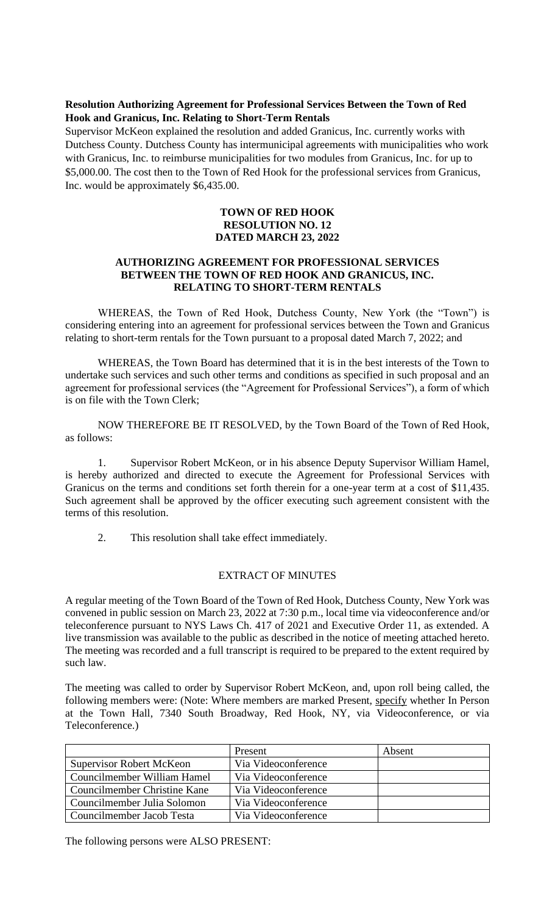# **Resolution Authorizing Agreement for Professional Services Between the Town of Red Hook and Granicus, Inc. Relating to Short-Term Rentals**

Supervisor McKeon explained the resolution and added Granicus, Inc. currently works with Dutchess County. Dutchess County has intermunicipal agreements with municipalities who work with Granicus, Inc. to reimburse municipalities for two modules from Granicus, Inc. for up to \$5,000.00. The cost then to the Town of Red Hook for the professional services from Granicus, Inc. would be approximately \$6,435.00.

### **TOWN OF RED HOOK RESOLUTION NO. 12 DATED MARCH 23, 2022**

# **AUTHORIZING AGREEMENT FOR PROFESSIONAL SERVICES BETWEEN THE TOWN OF RED HOOK AND GRANICUS, INC. RELATING TO SHORT-TERM RENTALS**

WHEREAS, the Town of Red Hook, Dutchess County, New York (the "Town") is considering entering into an agreement for professional services between the Town and Granicus relating to short-term rentals for the Town pursuant to a proposal dated March 7, 2022; and

WHEREAS, the Town Board has determined that it is in the best interests of the Town to undertake such services and such other terms and conditions as specified in such proposal and an agreement for professional services (the "Agreement for Professional Services"), a form of which is on file with the Town Clerk;

NOW THEREFORE BE IT RESOLVED, by the Town Board of the Town of Red Hook, as follows:

1. Supervisor Robert McKeon, or in his absence Deputy Supervisor William Hamel, is hereby authorized and directed to execute the Agreement for Professional Services with Granicus on the terms and conditions set forth therein for a one-year term at a cost of \$11,435. Such agreement shall be approved by the officer executing such agreement consistent with the terms of this resolution.

2. This resolution shall take effect immediately.

# EXTRACT OF MINUTES

A regular meeting of the Town Board of the Town of Red Hook, Dutchess County, New York was convened in public session on March 23, 2022 at 7:30 p.m., local time via videoconference and/or teleconference pursuant to NYS Laws Ch. 417 of 2021 and Executive Order 11, as extended. A live transmission was available to the public as described in the notice of meeting attached hereto. The meeting was recorded and a full transcript is required to be prepared to the extent required by such law.

The meeting was called to order by Supervisor Robert McKeon, and, upon roll being called, the following members were: (Note: Where members are marked Present, specify whether In Person at the Town Hall, 7340 South Broadway, Red Hook, NY, via Videoconference, or via Teleconference.)

|                                 | Present             | Absent |
|---------------------------------|---------------------|--------|
| <b>Supervisor Robert McKeon</b> | Via Videoconference |        |
| Councilmember William Hamel     | Via Videoconference |        |
| Councilmember Christine Kane    | Via Videoconference |        |
| Councilmember Julia Solomon     | Via Videoconference |        |
| Councilmember Jacob Testa       | Via Videoconference |        |

The following persons were ALSO PRESENT: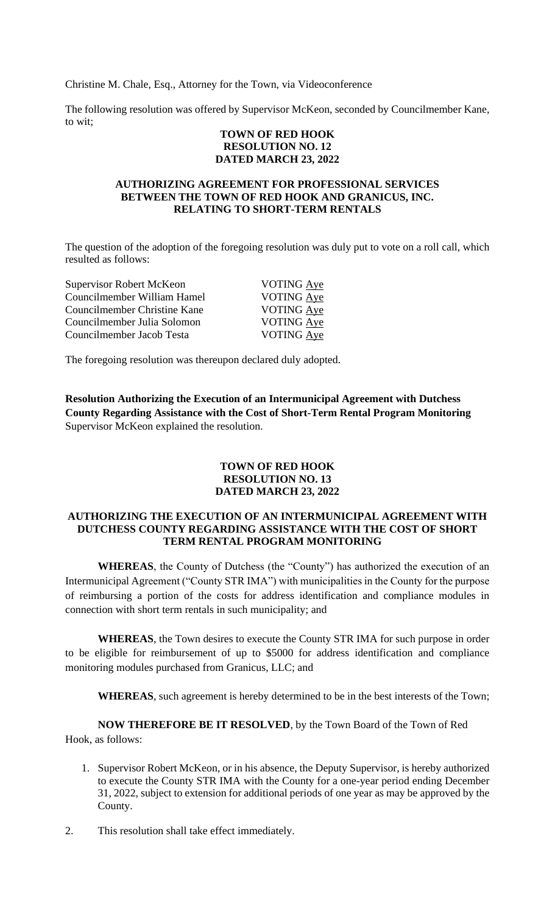Christine M. Chale, Esq., Attorney for the Town, via Videoconference

The following resolution was offered by Supervisor McKeon, seconded by Councilmember Kane, to wit;

#### **TOWN OF RED HOOK RESOLUTION NO. 12 DATED MARCH 23, 2022**

#### **AUTHORIZING AGREEMENT FOR PROFESSIONAL SERVICES BETWEEN THE TOWN OF RED HOOK AND GRANICUS, INC. RELATING TO SHORT-TERM RENTALS**

The question of the adoption of the foregoing resolution was duly put to vote on a roll call, which resulted as follows:

| <b>Supervisor Robert McKeon</b> | <b>VOTING</b> Aye |
|---------------------------------|-------------------|
| Councilmember William Hamel     | <b>VOTING</b> Aye |
| Councilmember Christine Kane    | VOTING Aye        |
| Councilmember Julia Solomon     | <b>VOTING Aye</b> |
| Councilmember Jacob Testa       | VOTING Aye        |

The foregoing resolution was thereupon declared duly adopted.

**Resolution Authorizing the Execution of an Intermunicipal Agreement with Dutchess County Regarding Assistance with the Cost of Short-Term Rental Program Monitoring** Supervisor McKeon explained the resolution.

# **TOWN OF RED HOOK RESOLUTION NO. 13 DATED MARCH 23, 2022**

# **AUTHORIZING THE EXECUTION OF AN INTERMUNICIPAL AGREEMENT WITH DUTCHESS COUNTY REGARDING ASSISTANCE WITH THE COST OF SHORT TERM RENTAL PROGRAM MONITORING**

**WHEREAS**, the County of Dutchess (the "County") has authorized the execution of an Intermunicipal Agreement ("County STR IMA") with municipalities in the County for the purpose of reimbursing a portion of the costs for address identification and compliance modules in connection with short term rentals in such municipality; and

**WHEREAS**, the Town desires to execute the County STR IMA for such purpose in order to be eligible for reimbursement of up to \$5000 for address identification and compliance monitoring modules purchased from Granicus, LLC; and

**WHEREAS**, such agreement is hereby determined to be in the best interests of the Town;

**NOW THEREFORE BE IT RESOLVED**, by the Town Board of the Town of Red Hook, as follows:

- 1. Supervisor Robert McKeon, or in his absence, the Deputy Supervisor, is hereby authorized to execute the County STR IMA with the County for a one-year period ending December 31, 2022, subject to extension for additional periods of one year as may be approved by the County.
- 2. This resolution shall take effect immediately.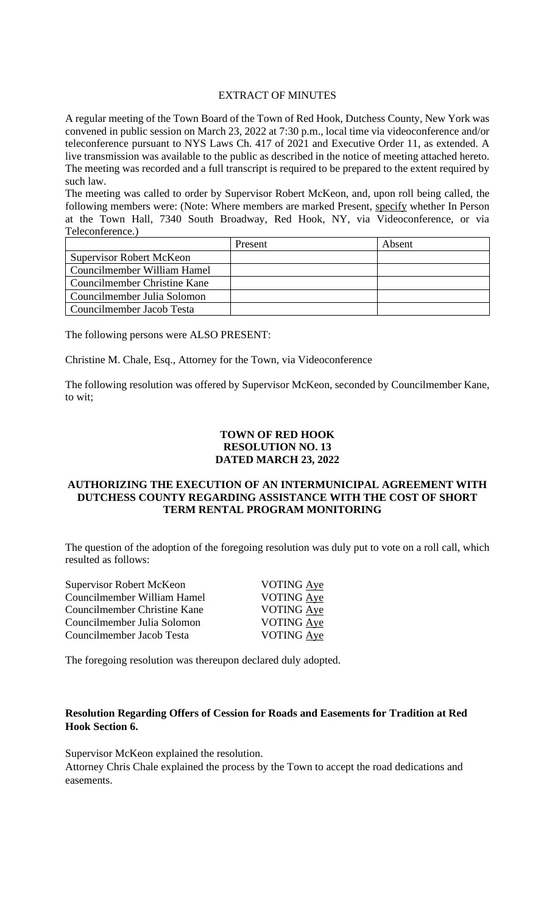#### EXTRACT OF MINUTES

A regular meeting of the Town Board of the Town of Red Hook, Dutchess County, New York was convened in public session on March 23, 2022 at 7:30 p.m., local time via videoconference and/or teleconference pursuant to NYS Laws Ch. 417 of 2021 and Executive Order 11, as extended. A live transmission was available to the public as described in the notice of meeting attached hereto. The meeting was recorded and a full transcript is required to be prepared to the extent required by such law.

The meeting was called to order by Supervisor Robert McKeon, and, upon roll being called, the following members were: (Note: Where members are marked Present, specify whether In Person at the Town Hall, 7340 South Broadway, Red Hook, NY, via Videoconference, or via Teleconference.)

|                                 | Present | Absent |
|---------------------------------|---------|--------|
| <b>Supervisor Robert McKeon</b> |         |        |
| Councilmember William Hamel     |         |        |
| Councilmember Christine Kane    |         |        |
| Councilmember Julia Solomon     |         |        |
| Councilmember Jacob Testa       |         |        |

The following persons were ALSO PRESENT:

Christine M. Chale, Esq., Attorney for the Town, via Videoconference

The following resolution was offered by Supervisor McKeon, seconded by Councilmember Kane, to wit;

# **TOWN OF RED HOOK RESOLUTION NO. 13 DATED MARCH 23, 2022**

### **AUTHORIZING THE EXECUTION OF AN INTERMUNICIPAL AGREEMENT WITH DUTCHESS COUNTY REGARDING ASSISTANCE WITH THE COST OF SHORT TERM RENTAL PROGRAM MONITORING**

The question of the adoption of the foregoing resolution was duly put to vote on a roll call, which resulted as follows:

| <b>Supervisor Robert McKeon</b> | VOTING Aye        |
|---------------------------------|-------------------|
| Councilmember William Hamel     | VOTING Aye        |
| Councilmember Christine Kane    | <b>VOTING Aye</b> |
| Councilmember Julia Solomon     | <b>VOTING Aye</b> |
| Councilmember Jacob Testa       | VOTING Aye        |
|                                 |                   |

The foregoing resolution was thereupon declared duly adopted.

# **Resolution Regarding Offers of Cession for Roads and Easements for Tradition at Red Hook Section 6.**

Supervisor McKeon explained the resolution.

Attorney Chris Chale explained the process by the Town to accept the road dedications and easements.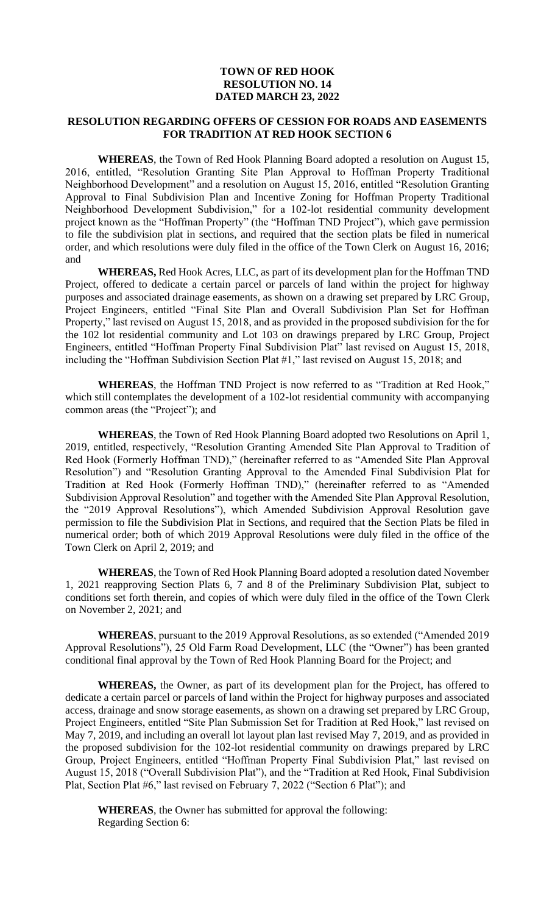# **TOWN OF RED HOOK RESOLUTION NO. 14 DATED MARCH 23, 2022**

### **RESOLUTION REGARDING OFFERS OF CESSION FOR ROADS AND EASEMENTS FOR TRADITION AT RED HOOK SECTION 6**

**WHEREAS**, the Town of Red Hook Planning Board adopted a resolution on August 15, 2016, entitled, "Resolution Granting Site Plan Approval to Hoffman Property Traditional Neighborhood Development" and a resolution on August 15, 2016, entitled "Resolution Granting Approval to Final Subdivision Plan and Incentive Zoning for Hoffman Property Traditional Neighborhood Development Subdivision," for a 102-lot residential community development project known as the "Hoffman Property" (the "Hoffman TND Project"), which gave permission to file the subdivision plat in sections, and required that the section plats be filed in numerical order, and which resolutions were duly filed in the office of the Town Clerk on August 16, 2016; and

**WHEREAS,** Red Hook Acres, LLC, as part of its development plan for the Hoffman TND Project, offered to dedicate a certain parcel or parcels of land within the project for highway purposes and associated drainage easements, as shown on a drawing set prepared by LRC Group, Project Engineers, entitled "Final Site Plan and Overall Subdivision Plan Set for Hoffman Property," last revised on August 15, 2018, and as provided in the proposed subdivision for the for the 102 lot residential community and Lot 103 on drawings prepared by LRC Group, Project Engineers, entitled "Hoffman Property Final Subdivision Plat" last revised on August 15, 2018, including the "Hoffman Subdivision Section Plat #1," last revised on August 15, 2018; and

**WHEREAS**, the Hoffman TND Project is now referred to as "Tradition at Red Hook," which still contemplates the development of a 102-lot residential community with accompanying common areas (the "Project"); and

**WHEREAS**, the Town of Red Hook Planning Board adopted two Resolutions on April 1, 2019, entitled, respectively, "Resolution Granting Amended Site Plan Approval to Tradition of Red Hook (Formerly Hoffman TND)," (hereinafter referred to as "Amended Site Plan Approval Resolution") and "Resolution Granting Approval to the Amended Final Subdivision Plat for Tradition at Red Hook (Formerly Hoffman TND)," (hereinafter referred to as "Amended Subdivision Approval Resolution" and together with the Amended Site Plan Approval Resolution, the "2019 Approval Resolutions"), which Amended Subdivision Approval Resolution gave permission to file the Subdivision Plat in Sections, and required that the Section Plats be filed in numerical order; both of which 2019 Approval Resolutions were duly filed in the office of the Town Clerk on April 2, 2019; and

**WHEREAS**, the Town of Red Hook Planning Board adopted a resolution dated November 1, 2021 reapproving Section Plats 6, 7 and 8 of the Preliminary Subdivision Plat, subject to conditions set forth therein, and copies of which were duly filed in the office of the Town Clerk on November 2, 2021; and

**WHEREAS**, pursuant to the 2019 Approval Resolutions, as so extended ("Amended 2019 Approval Resolutions"), 25 Old Farm Road Development, LLC (the "Owner") has been granted conditional final approval by the Town of Red Hook Planning Board for the Project; and

**WHEREAS,** the Owner, as part of its development plan for the Project, has offered to dedicate a certain parcel or parcels of land within the Project for highway purposes and associated access, drainage and snow storage easements, as shown on a drawing set prepared by LRC Group, Project Engineers, entitled "Site Plan Submission Set for Tradition at Red Hook," last revised on May 7, 2019, and including an overall lot layout plan last revised May 7, 2019, and as provided in the proposed subdivision for the 102-lot residential community on drawings prepared by LRC Group, Project Engineers, entitled "Hoffman Property Final Subdivision Plat," last revised on August 15, 2018 ("Overall Subdivision Plat"), and the "Tradition at Red Hook, Final Subdivision Plat, Section Plat #6," last revised on February 7, 2022 ("Section 6 Plat"); and

**WHEREAS**, the Owner has submitted for approval the following: Regarding Section 6: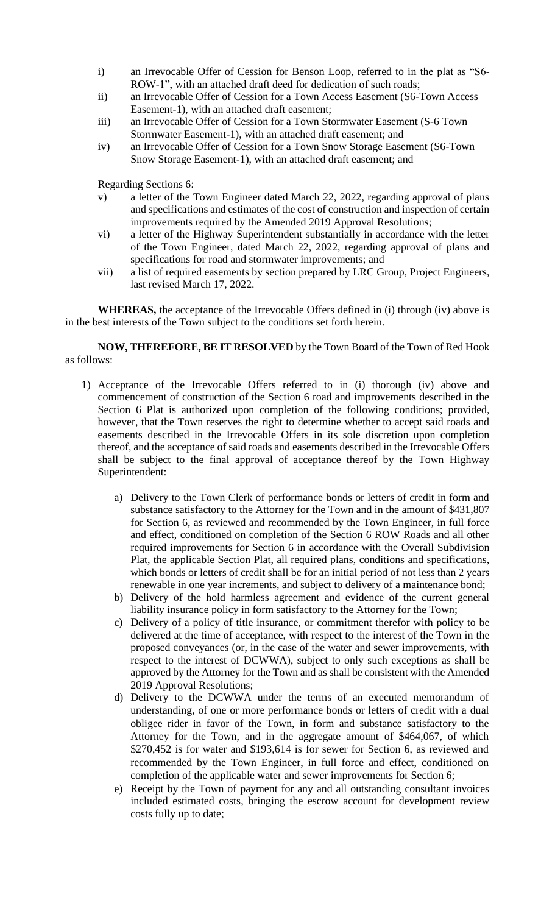- i) an Irrevocable Offer of Cession for Benson Loop, referred to in the plat as "S6- ROW-1", with an attached draft deed for dedication of such roads;
- ii) an Irrevocable Offer of Cession for a Town Access Easement (S6-Town Access Easement-1), with an attached draft easement;
- iii) an Irrevocable Offer of Cession for a Town Stormwater Easement (S-6 Town Stormwater Easement-1), with an attached draft easement; and
- iv) an Irrevocable Offer of Cession for a Town Snow Storage Easement (S6-Town Snow Storage Easement-1), with an attached draft easement; and

Regarding Sections 6:

- v) a letter of the Town Engineer dated March 22, 2022, regarding approval of plans and specifications and estimates of the cost of construction and inspection of certain improvements required by the Amended 2019 Approval Resolutions;
- vi) a letter of the Highway Superintendent substantially in accordance with the letter of the Town Engineer, dated March 22, 2022, regarding approval of plans and specifications for road and stormwater improvements; and
- vii) a list of required easements by section prepared by LRC Group, Project Engineers, last revised March 17, 2022.

**WHEREAS,** the acceptance of the Irrevocable Offers defined in (i) through (iv) above is in the best interests of the Town subject to the conditions set forth herein.

**NOW, THEREFORE, BE IT RESOLVED** by the Town Board of the Town of Red Hook as follows:

- 1) Acceptance of the Irrevocable Offers referred to in (i) thorough (iv) above and commencement of construction of the Section 6 road and improvements described in the Section 6 Plat is authorized upon completion of the following conditions; provided, however, that the Town reserves the right to determine whether to accept said roads and easements described in the Irrevocable Offers in its sole discretion upon completion thereof, and the acceptance of said roads and easements described in the Irrevocable Offers shall be subject to the final approval of acceptance thereof by the Town Highway Superintendent:
	- a) Delivery to the Town Clerk of performance bonds or letters of credit in form and substance satisfactory to the Attorney for the Town and in the amount of \$431,807 for Section 6, as reviewed and recommended by the Town Engineer, in full force and effect, conditioned on completion of the Section 6 ROW Roads and all other required improvements for Section 6 in accordance with the Overall Subdivision Plat, the applicable Section Plat, all required plans, conditions and specifications, which bonds or letters of credit shall be for an initial period of not less than 2 years renewable in one year increments, and subject to delivery of a maintenance bond;
	- b) Delivery of the hold harmless agreement and evidence of the current general liability insurance policy in form satisfactory to the Attorney for the Town;
	- c) Delivery of a policy of title insurance, or commitment therefor with policy to be delivered at the time of acceptance, with respect to the interest of the Town in the proposed conveyances (or, in the case of the water and sewer improvements, with respect to the interest of DCWWA), subject to only such exceptions as shall be approved by the Attorney for the Town and as shall be consistent with the Amended 2019 Approval Resolutions;
	- d) Delivery to the DCWWA under the terms of an executed memorandum of understanding, of one or more performance bonds or letters of credit with a dual obligee rider in favor of the Town, in form and substance satisfactory to the Attorney for the Town, and in the aggregate amount of \$464,067, of which \$270,452 is for water and \$193,614 is for sewer for Section 6, as reviewed and recommended by the Town Engineer, in full force and effect, conditioned on completion of the applicable water and sewer improvements for Section 6;
	- e) Receipt by the Town of payment for any and all outstanding consultant invoices included estimated costs, bringing the escrow account for development review costs fully up to date;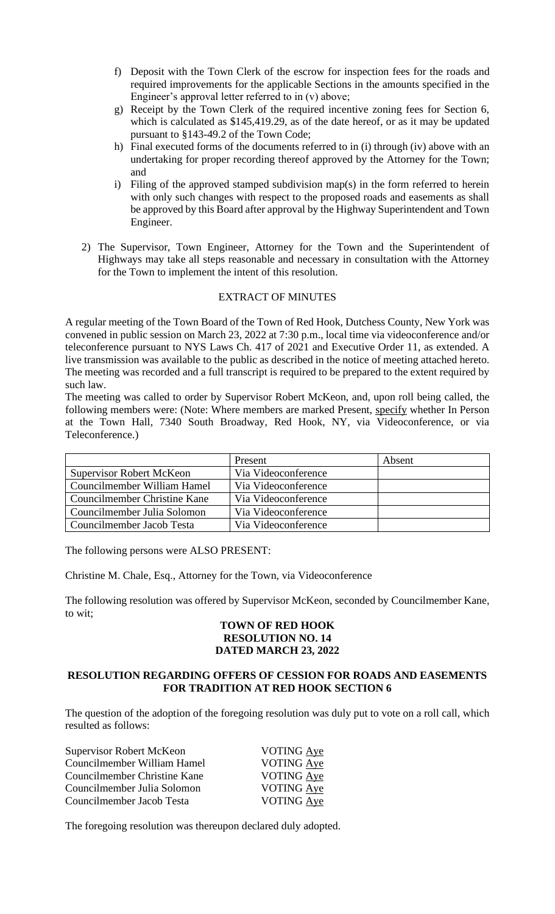- f) Deposit with the Town Clerk of the escrow for inspection fees for the roads and required improvements for the applicable Sections in the amounts specified in the Engineer's approval letter referred to in (v) above;
- g) Receipt by the Town Clerk of the required incentive zoning fees for Section 6, which is calculated as \$145,419.29, as of the date hereof, or as it may be updated pursuant to §143-49.2 of the Town Code;
- h) Final executed forms of the documents referred to in (i) through (iv) above with an undertaking for proper recording thereof approved by the Attorney for the Town; and
- i) Filing of the approved stamped subdivision map(s) in the form referred to herein with only such changes with respect to the proposed roads and easements as shall be approved by this Board after approval by the Highway Superintendent and Town Engineer.
- 2) The Supervisor, Town Engineer, Attorney for the Town and the Superintendent of Highways may take all steps reasonable and necessary in consultation with the Attorney for the Town to implement the intent of this resolution.

# EXTRACT OF MINUTES

A regular meeting of the Town Board of the Town of Red Hook, Dutchess County, New York was convened in public session on March 23, 2022 at 7:30 p.m., local time via videoconference and/or teleconference pursuant to NYS Laws Ch. 417 of 2021 and Executive Order 11, as extended. A live transmission was available to the public as described in the notice of meeting attached hereto. The meeting was recorded and a full transcript is required to be prepared to the extent required by such law.

The meeting was called to order by Supervisor Robert McKeon, and, upon roll being called, the following members were: (Note: Where members are marked Present, specify whether In Person at the Town Hall, 7340 South Broadway, Red Hook, NY, via Videoconference, or via Teleconference.)

|                                 | Present             | Absent |
|---------------------------------|---------------------|--------|
| <b>Supervisor Robert McKeon</b> | Via Videoconference |        |
| Councilmember William Hamel     | Via Videoconference |        |
| Councilmember Christine Kane    | Via Videoconference |        |
| Councilmember Julia Solomon     | Via Videoconference |        |
| Councilmember Jacob Testa       | Via Videoconference |        |

The following persons were ALSO PRESENT:

Christine M. Chale, Esq., Attorney for the Town, via Videoconference

The following resolution was offered by Supervisor McKeon, seconded by Councilmember Kane, to wit;

# **TOWN OF RED HOOK RESOLUTION NO. 14 DATED MARCH 23, 2022**

# **RESOLUTION REGARDING OFFERS OF CESSION FOR ROADS AND EASEMENTS FOR TRADITION AT RED HOOK SECTION 6**

The question of the adoption of the foregoing resolution was duly put to vote on a roll call, which resulted as follows:

| Supervisor Robert McKeon     | VOTING Aye        |
|------------------------------|-------------------|
| Councilmember William Hamel  | <b>VOTING Aye</b> |
| Councilmember Christine Kane | <b>VOTING Aye</b> |
| Councilmember Julia Solomon  | VOTING Aye        |
| Councilmember Jacob Testa    | VOTING Aye        |

The foregoing resolution was thereupon declared duly adopted.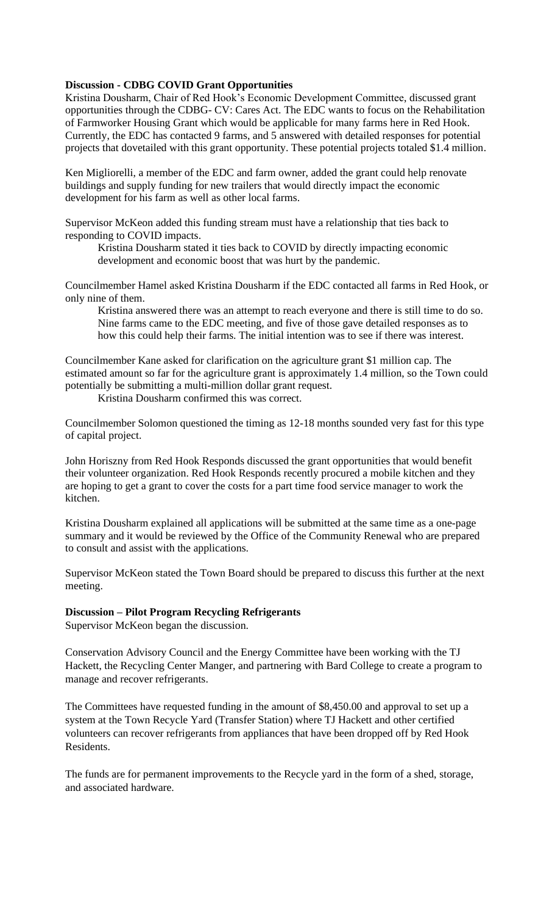# **Discussion - CDBG COVID Grant Opportunities**

Kristina Dousharm, Chair of Red Hook's Economic Development Committee, discussed grant opportunities through the CDBG- CV: Cares Act. The EDC wants to focus on the Rehabilitation of Farmworker Housing Grant which would be applicable for many farms here in Red Hook. Currently, the EDC has contacted 9 farms, and 5 answered with detailed responses for potential projects that dovetailed with this grant opportunity. These potential projects totaled \$1.4 million.

Ken Migliorelli, a member of the EDC and farm owner, added the grant could help renovate buildings and supply funding for new trailers that would directly impact the economic development for his farm as well as other local farms.

Supervisor McKeon added this funding stream must have a relationship that ties back to responding to COVID impacts.

Kristina Dousharm stated it ties back to COVID by directly impacting economic development and economic boost that was hurt by the pandemic.

Councilmember Hamel asked Kristina Dousharm if the EDC contacted all farms in Red Hook, or only nine of them.

Kristina answered there was an attempt to reach everyone and there is still time to do so. Nine farms came to the EDC meeting, and five of those gave detailed responses as to how this could help their farms. The initial intention was to see if there was interest.

Councilmember Kane asked for clarification on the agriculture grant \$1 million cap. The estimated amount so far for the agriculture grant is approximately 1.4 million, so the Town could potentially be submitting a multi-million dollar grant request.

Kristina Dousharm confirmed this was correct.

Councilmember Solomon questioned the timing as 12-18 months sounded very fast for this type of capital project.

John Horiszny from Red Hook Responds discussed the grant opportunities that would benefit their volunteer organization. Red Hook Responds recently procured a mobile kitchen and they are hoping to get a grant to cover the costs for a part time food service manager to work the kitchen.

Kristina Dousharm explained all applications will be submitted at the same time as a one-page summary and it would be reviewed by the Office of the Community Renewal who are prepared to consult and assist with the applications.

Supervisor McKeon stated the Town Board should be prepared to discuss this further at the next meeting.

#### **Discussion – Pilot Program Recycling Refrigerants**

Supervisor McKeon began the discussion.

Conservation Advisory Council and the Energy Committee have been working with the TJ Hackett, the Recycling Center Manger, and partnering with Bard College to create a program to manage and recover refrigerants.

The Committees have requested funding in the amount of \$8,450.00 and approval to set up a system at the Town Recycle Yard (Transfer Station) where TJ Hackett and other certified volunteers can recover refrigerants from appliances that have been dropped off by Red Hook Residents.

The funds are for permanent improvements to the Recycle yard in the form of a shed, storage, and associated hardware.